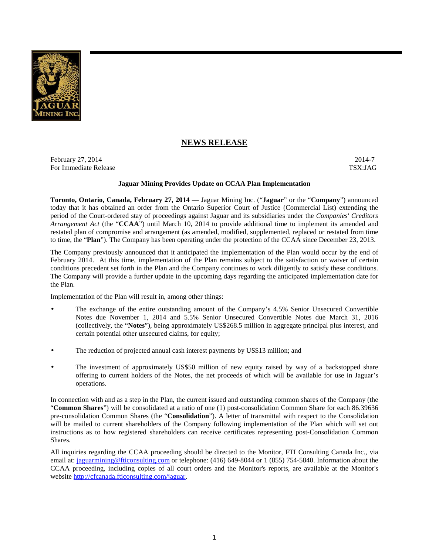

# **NEWS RELEASE**

February 27, 2014 $-$ 2014-7 For Immediate Release TSX:JAG

# **Jaguar Mining Provides Update on CCAA Plan Implementation**

**Toronto, Ontario, Canada, February 27, 2014** — Jaguar Mining Inc. ("**Jaguar**" or the "**Company**") announced today that it has obtained an order from the Ontario Superior Court of Justice (Commercial List) extending the period of the Court-ordered stay of proceedings against Jaguar and its subsidiaries under the *Companies' Creditors Arrangement Act* (the "**CCAA**") until March 10, 2014 to provide additional time to implement its amended and restated plan of compromise and arrangement (as amended, modified, supplemented, replaced or restated from time to time, the "**Plan**"). The Company has been operating under the protection of the CCAA since December 23, 2013.

The Company previously announced that it anticipated the implementation of the Plan would occur by the end of February 2014. At this time, implementation of the Plan remains subject to the satisfaction or waiver of certain conditions precedent set forth in the Plan and the Company continues to work diligently to satisfy these conditions. The Company will provide a further update in the upcoming days regarding the anticipated implementation date for the Plan.

Implementation of the Plan will result in, among other things:

- The exchange of the entire outstanding amount of the Company's 4.5% Senior Unsecured Convertible Notes due November 1, 2014 and 5.5% Senior Unsecured Convertible Notes due March 31, 2016 (collectively, the "**Notes**"), being approximately US\$268.5 million in aggregate principal plus interest, and certain potential other unsecured claims, for equity;
- The reduction of projected annual cash interest payments by US\$13 million; and
- The investment of approximately US\$50 million of new equity raised by way of a backstopped share offering to current holders of the Notes, the net proceeds of which will be available for use in Jaguar's operations.

In connection with and as a step in the Plan, the current issued and outstanding common shares of the Company (the "**Common Shares**") will be consolidated at a ratio of one (1) post-consolidation Common Share for each 86.39636 pre-consolidation Common Shares (the "**Consolidation**"). A letter of transmittal with respect to the Consolidation will be mailed to current shareholders of the Company following implementation of the Plan which will set out instructions as to how registered shareholders can receive certificates representing post-Consolidation Common Shares.

All inquiries regarding the CCAA proceeding should be directed to the Monitor, FTI Consulting Canada Inc., via email at: jaguarmining@fticonsulting.com or telephone: (416) 649-8044 or 1 (855) 754-5840. Information about the CCAA proceeding, including copies of all court orders and the Monitor's reports, are available at the Monitor's website http://cfcanada.fticonsulting.com/jaguar.